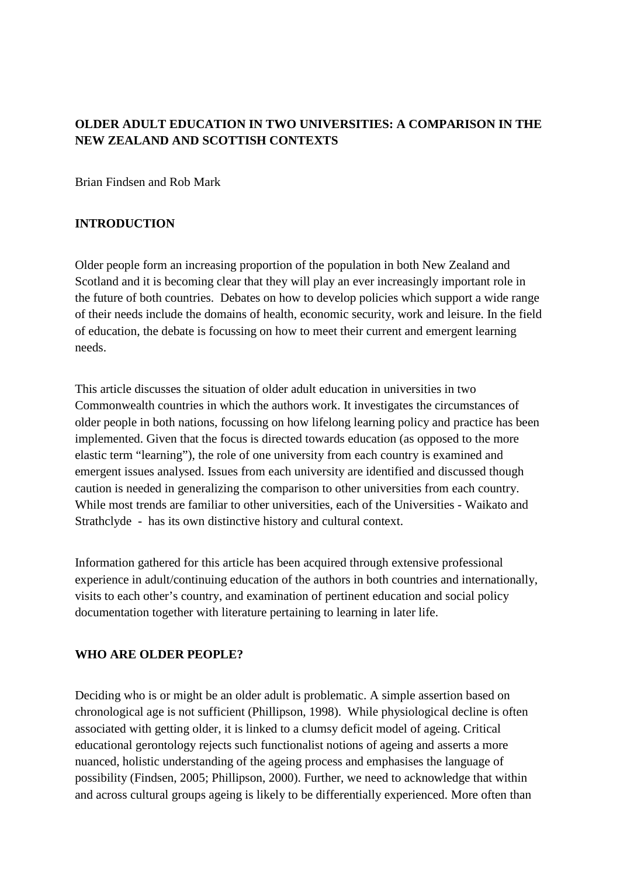# **OLDER ADULT EDUCATION IN TWO UNIVERSITIES: A COMPARISON IN THE NEW ZEALAND AND SCOTTISH CONTEXTS**

Brian Findsen and Rob Mark

## **INTRODUCTION**

Older people form an increasing proportion of the population in both New Zealand and Scotland and it is becoming clear that they will play an ever increasingly important role in the future of both countries. Debates on how to develop policies which support a wide range of their needs include the domains of health, economic security, work and leisure. In the field of education, the debate is focussing on how to meet their current and emergent learning needs.

This article discusses the situation of older adult education in universities in two Commonwealth countries in which the authors work. It investigates the circumstances of older people in both nations, focussing on how lifelong learning policy and practice has been implemented. Given that the focus is directed towards education (as opposed to the more elastic term "learning"), the role of one university from each country is examined and emergent issues analysed. Issues from each university are identified and discussed though caution is needed in generalizing the comparison to other universities from each country. While most trends are familiar to other universities, each of the Universities - Waikato and Strathclyde - has its own distinctive history and cultural context.

Information gathered for this article has been acquired through extensive professional experience in adult/continuing education of the authors in both countries and internationally, visits to each other's country, and examination of pertinent education and social policy documentation together with literature pertaining to learning in later life.

### **WHO ARE OLDER PEOPLE?**

Deciding who is or might be an older adult is problematic. A simple assertion based on chronological age is not sufficient (Phillipson, 1998). While physiological decline is often associated with getting older, it is linked to a clumsy deficit model of ageing. Critical educational gerontology rejects such functionalist notions of ageing and asserts a more nuanced, holistic understanding of the ageing process and emphasises the language of possibility (Findsen, 2005; Phillipson, 2000). Further, we need to acknowledge that within and across cultural groups ageing is likely to be differentially experienced. More often than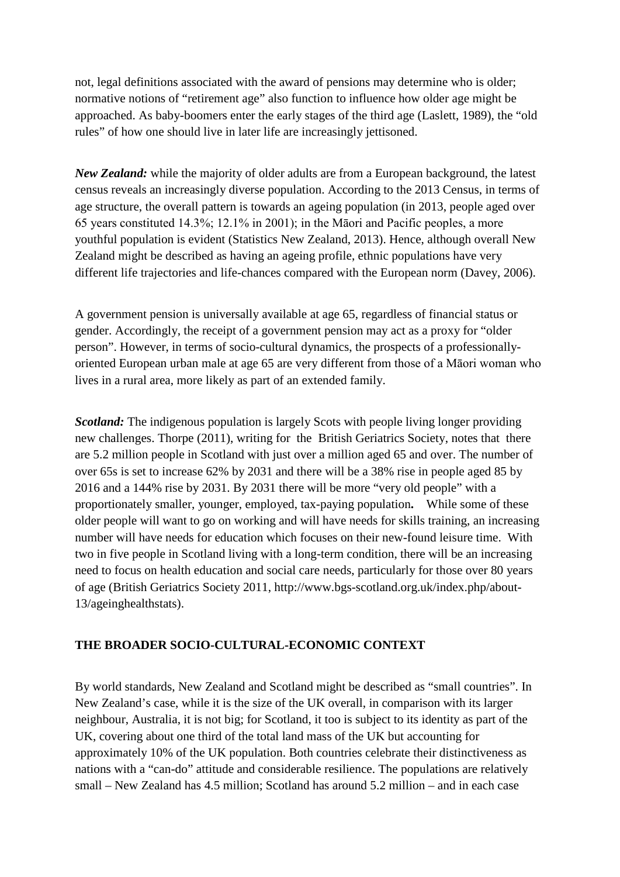not, legal definitions associated with the award of pensions may determine who is older; normative notions of "retirement age" also function to influence how older age might be approached. As baby-boomers enter the early stages of the third age (Laslett, 1989), the "old rules" of how one should live in later life are increasingly jettisoned.

*New Zealand:* while the majority of older adults are from a European background, the latest census reveals an increasingly diverse population. According to the 2013 Census, in terms of age structure, the overall pattern is towards an ageing population (in 2013, people aged over 65 years constituted 14.3%; 12.1% in 2001); in the Māori and Pacific peoples, a more youthful population is evident (Statistics New Zealand, 2013). Hence, although overall New Zealand might be described as having an ageing profile, ethnic populations have very different life trajectories and life-chances compared with the European norm (Davey, 2006).

A government pension is universally available at age 65, regardless of financial status or gender. Accordingly, the receipt of a government pension may act as a proxy for "older person". However, in terms of socio-cultural dynamics, the prospects of a professionallyoriented European urban male at age 65 are very different from those of a Māori woman who lives in a rural area, more likely as part of an extended family.

*Scotland:* The indigenous population is largely Scots with people living longer providing new challenges. Thorpe (2011), writing for the British Geriatrics Society, notes thatthere are 5.2 million people in Scotland with just over a million aged 65 and over. The number of over 65s is set to increase 62% by 2031 and there will be a 38% rise in people aged 85 by 2016 and a 144% rise by 2031. By 2031 there will be more "very old people" with a proportionately smaller, younger, employed, tax-paying population**.** While some of these older people will want to go on working and will have needs for skills training, an increasing number will have needs for education which focuses on their new-found leisure time. With two in five people in Scotland living with a long-term condition, there will be an increasing need to focus on health education and social care needs, particularly for those over 80 years of age (British Geriatrics Society 2011, http://www.bgs-scotland.org.uk/index.php/about-13/ageinghealthstats).

## **THE BROADER SOCIO-CULTURAL-ECONOMIC CONTEXT**

By world standards, New Zealand and Scotland might be described as "small countries". In New Zealand's case, while it is the size of the UK overall, in comparison with its larger neighbour, Australia, it is not big; for Scotland, it too is subject to its identity as part of the UK, covering about one third of the total land mass of the UK but accounting for approximately 10% of the UK population. Both countries celebrate their distinctiveness as nations with a "can-do" attitude and considerable resilience. The populations are relatively small – New Zealand has 4.5 million; Scotland has around 5.2 million – and in each case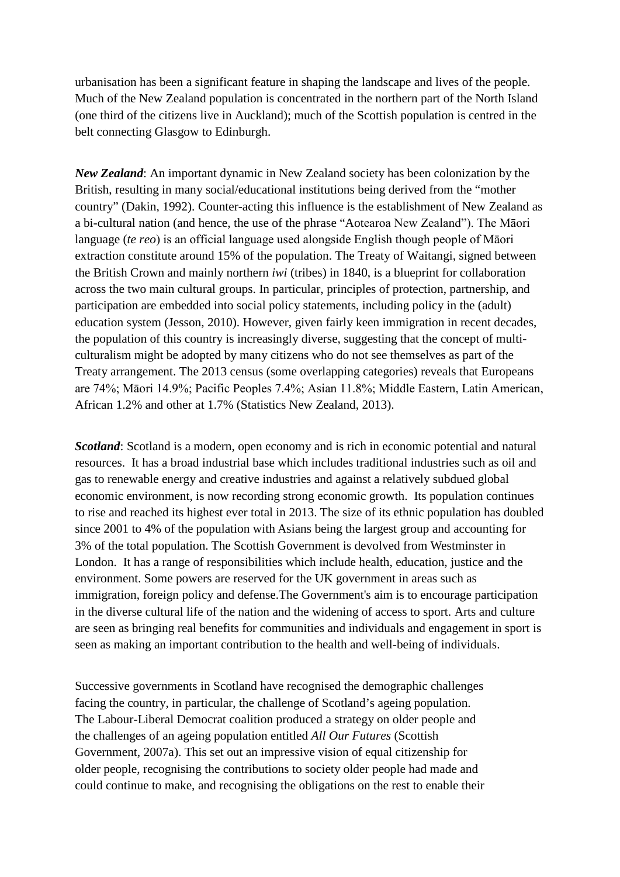urbanisation has been a significant feature in shaping the landscape and lives of the people. Much of the New Zealand population is concentrated in the northern part of the North Island (one third of the citizens live in Auckland); much of the Scottish population is centred in the belt connecting Glasgow to Edinburgh.

*New Zealand*: An important dynamic in New Zealand society has been colonization by the British, resulting in many social/educational institutions being derived from the "mother country" (Dakin, 1992). Counter-acting this influence is the establishment of New Zealand as a bi-cultural nation (and hence, the use of the phrase "Aotearoa New Zealand"). The Māori language (*te reo*) is an official language used alongside English though people of Māori extraction constitute around 15% of the population. The Treaty of Waitangi, signed between the British Crown and mainly northern *iwi* (tribes) in 1840, is a blueprint for collaboration across the two main cultural groups. In particular, principles of protection, partnership, and participation are embedded into social policy statements, including policy in the (adult) education system (Jesson, 2010). However, given fairly keen immigration in recent decades, the population of this country is increasingly diverse, suggesting that the concept of multiculturalism might be adopted by many citizens who do not see themselves as part of the Treaty arrangement. The 2013 census (some overlapping categories) reveals that Europeans are 74%; Māori 14.9%; Pacific Peoples 7.4%; Asian 11.8%; Middle Eastern, Latin American, African 1.2% and other at 1.7% (Statistics New Zealand, 2013).

*Scotland*: Scotland is a modern, open economy and is rich in economic potential and natural resources. It has a broad industrial base which includes traditional industries such as oil and gas to renewable energy and creative industries and against a relatively subdued global economic environment, is now recording strong economic growth. Its population continues to rise and reached its highest ever total in 2013. The size of its ethnic population has doubled since 2001 to 4% of the population with Asians being the largest group and accounting for 3% of the total population. The Scottish Government is devolved from Westminster in London. It has a range of responsibilities which include health, education, justice and the environment. Some powers are reserved for the UK government in areas such as immigration, foreign policy and defense.The Government's aim is to encourage participation in the diverse cultural life of the nation and the widening of access to sport. Arts and culture are seen as bringing real benefits for communities and individuals and engagement in sport is seen as making an important contribution to the health and well-being of individuals.

Successive governments in Scotland have recognised the demographic challenges facing the country, in particular, the challenge of Scotland's ageing population. The Labour-Liberal Democrat coalition produced a strategy on older people and the challenges of an ageing population entitled *All Our Futures* (Scottish Government, 2007a). This set out an impressive vision of equal citizenship for older people, recognising the contributions to society older people had made and could continue to make, and recognising the obligations on the rest to enable their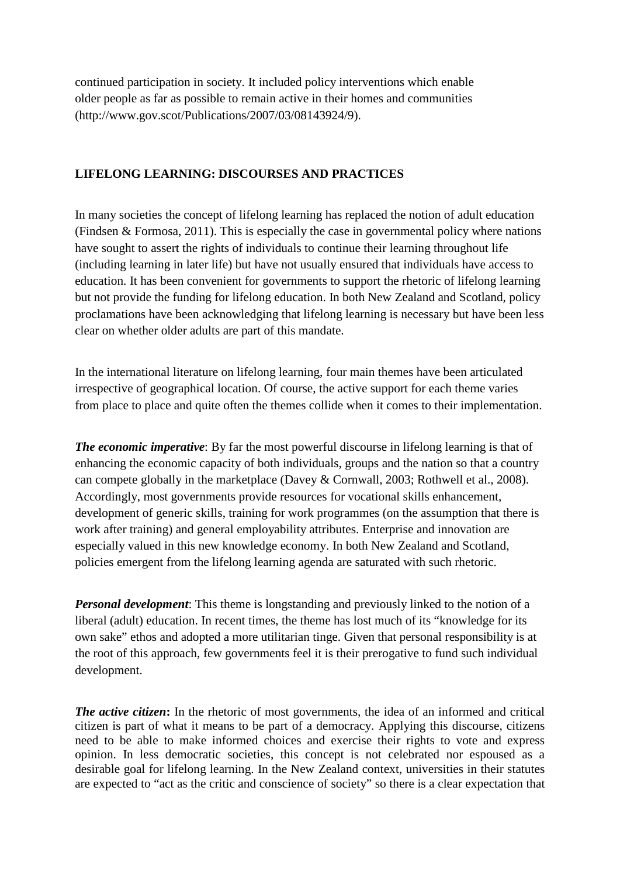continued participation in society. It included policy interventions which enable older people as far as possible to remain active in their homes and communities (http://www.gov.scot/Publications/2007/03/08143924/9).

## **LIFELONG LEARNING: DISCOURSES AND PRACTICES**

In many societies the concept of lifelong learning has replaced the notion of adult education (Findsen & Formosa, 2011). This is especially the case in governmental policy where nations have sought to assert the rights of individuals to continue their learning throughout life (including learning in later life) but have not usually ensured that individuals have access to education. It has been convenient for governments to support the rhetoric of lifelong learning but not provide the funding for lifelong education. In both New Zealand and Scotland, policy proclamations have been acknowledging that lifelong learning is necessary but have been less clear on whether older adults are part of this mandate.

In the international literature on lifelong learning, four main themes have been articulated irrespective of geographical location. Of course, the active support for each theme varies from place to place and quite often the themes collide when it comes to their implementation.

*The economic imperative*: By far the most powerful discourse in lifelong learning is that of enhancing the economic capacity of both individuals, groups and the nation so that a country can compete globally in the marketplace (Davey & Cornwall, 2003; Rothwell et al., 2008). Accordingly, most governments provide resources for vocational skills enhancement, development of generic skills, training for work programmes (on the assumption that there is work after training) and general employability attributes. Enterprise and innovation are especially valued in this new knowledge economy. In both New Zealand and Scotland, policies emergent from the lifelong learning agenda are saturated with such rhetoric.

*Personal development*: This theme is longstanding and previously linked to the notion of a liberal (adult) education. In recent times, the theme has lost much of its "knowledge for its own sake" ethos and adopted a more utilitarian tinge. Given that personal responsibility is at the root of this approach, few governments feel it is their prerogative to fund such individual development.

*The active citizen***:** In the rhetoric of most governments, the idea of an informed and critical citizen is part of what it means to be part of a democracy. Applying this discourse, citizens need to be able to make informed choices and exercise their rights to vote and express opinion. In less democratic societies, this concept is not celebrated nor espoused as a desirable goal for lifelong learning. In the New Zealand context, universities in their statutes are expected to "act as the critic and conscience of society" so there is a clear expectation that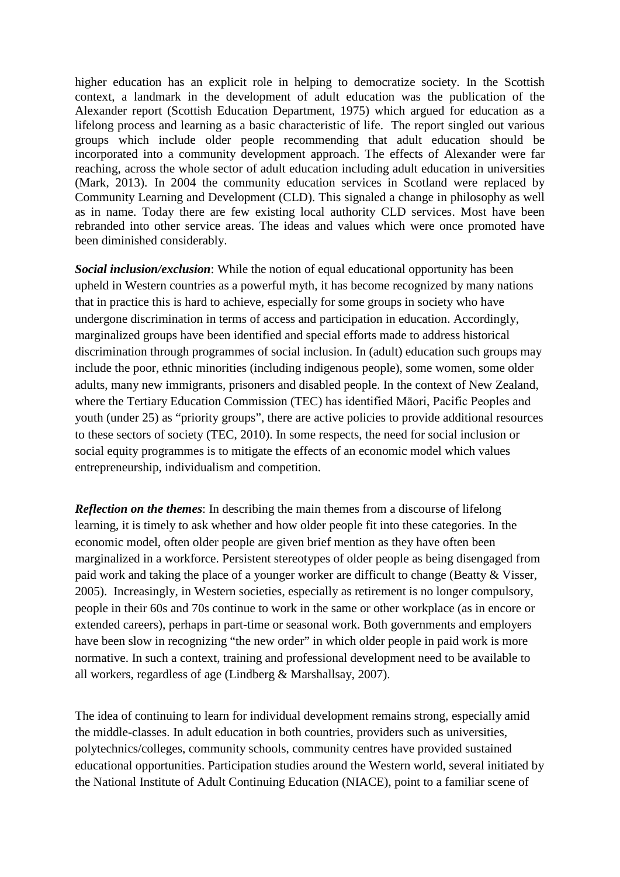higher education has an explicit role in helping to democratize society. In the Scottish context, a landmark in the development of adult education was the publication of the Alexander report (Scottish Education Department, 1975) which argued for education as a lifelong process and learning as a basic characteristic of life. The report singled out various groups which include older people recommending that adult education should be incorporated into a community development approach. The effects of Alexander were far reaching, across the whole sector of adult education including adult education in universities (Mark, 2013). In 2004 the community education services in Scotland were replaced by Community Learning and Development (CLD). This signaled a change in philosophy as well as in name. Today there are few existing local authority CLD services. Most have been rebranded into other service areas. The ideas and values which were once promoted have been diminished considerably.

*Social inclusion/exclusion*: While the notion of equal educational opportunity has been upheld in Western countries as a powerful myth, it has become recognized by many nations that in practice this is hard to achieve, especially for some groups in society who have undergone discrimination in terms of access and participation in education. Accordingly, marginalized groups have been identified and special efforts made to address historical discrimination through programmes of social inclusion. In (adult) education such groups may include the poor, ethnic minorities (including indigenous people), some women, some older adults, many new immigrants, prisoners and disabled people. In the context of New Zealand, where the Tertiary Education Commission (TEC) has identified Māori, Pacific Peoples and youth (under 25) as "priority groups", there are active policies to provide additional resources to these sectors of society (TEC, 2010). In some respects, the need for social inclusion or social equity programmes is to mitigate the effects of an economic model which values entrepreneurship, individualism and competition.

*Reflection on the themes*: In describing the main themes from a discourse of lifelong learning, it is timely to ask whether and how older people fit into these categories. In the economic model, often older people are given brief mention as they have often been marginalized in a workforce. Persistent stereotypes of older people as being disengaged from paid work and taking the place of a younger worker are difficult to change (Beatty & Visser, 2005). Increasingly, in Western societies, especially as retirement is no longer compulsory, people in their 60s and 70s continue to work in the same or other workplace (as in encore or extended careers), perhaps in part-time or seasonal work. Both governments and employers have been slow in recognizing "the new order" in which older people in paid work is more normative. In such a context, training and professional development need to be available to all workers, regardless of age (Lindberg & Marshallsay, 2007).

The idea of continuing to learn for individual development remains strong, especially amid the middle-classes. In adult education in both countries, providers such as universities, polytechnics/colleges, community schools, community centres have provided sustained educational opportunities. Participation studies around the Western world, several initiated by the National Institute of Adult Continuing Education (NIACE), point to a familiar scene of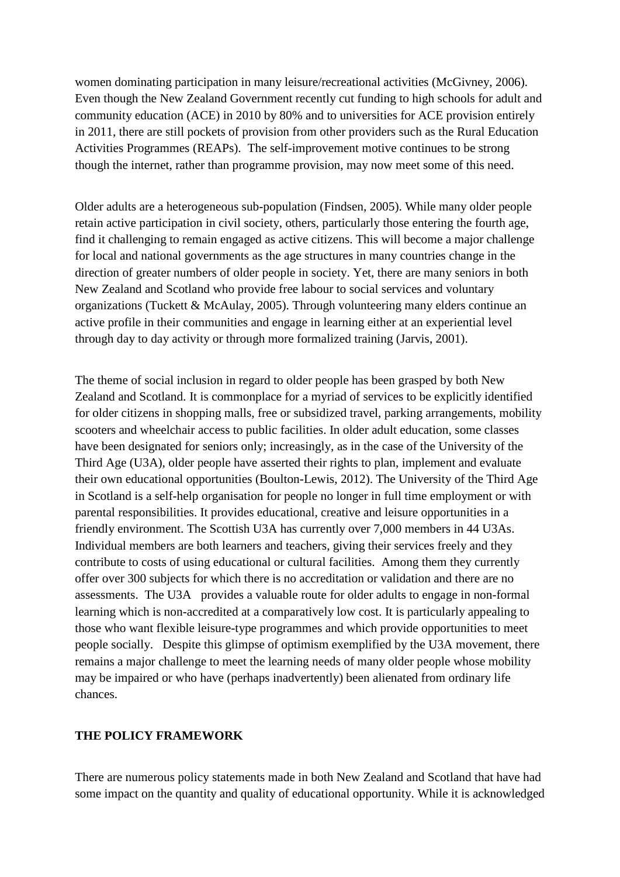women dominating participation in many leisure/recreational activities (McGivney, 2006). Even though the New Zealand Government recently cut funding to high schools for adult and community education (ACE) in 2010 by 80% and to universities for ACE provision entirely in 2011, there are still pockets of provision from other providers such as the Rural Education Activities Programmes (REAPs). The self-improvement motive continues to be strong though the internet, rather than programme provision, may now meet some of this need.

Older adults are a heterogeneous sub-population (Findsen, 2005). While many older people retain active participation in civil society, others, particularly those entering the fourth age, find it challenging to remain engaged as active citizens. This will become a major challenge for local and national governments as the age structures in many countries change in the direction of greater numbers of older people in society. Yet, there are many seniors in both New Zealand and Scotland who provide free labour to social services and voluntary organizations (Tuckett & McAulay, 2005). Through volunteering many elders continue an active profile in their communities and engage in learning either at an experiential level through day to day activity or through more formalized training (Jarvis, 2001).

The theme of social inclusion in regard to older people has been grasped by both New Zealand and Scotland. It is commonplace for a myriad of services to be explicitly identified for older citizens in shopping malls, free or subsidized travel, parking arrangements, mobility scooters and wheelchair access to public facilities. In older adult education, some classes have been designated for seniors only; increasingly, as in the case of the University of the Third Age (U3A), older people have asserted their rights to plan, implement and evaluate their own educational opportunities (Boulton-Lewis, 2012). The University of the Third Age in Scotland is a self-help organisation for people no longer in full time employment or with parental responsibilities. It provides educational, creative and leisure opportunities in a friendly environment. The Scottish U3A has currently over 7,000 members in 44 U3As. Individual members are both learners and teachers, giving their services freely and they contribute to costs of using educational or cultural facilities. Among them they currently offer over 300 subjects for which there is no accreditation or validation and there are no assessments. The U3A provides a valuable route for older adults to engage in non-formal learning which is non-accredited at a comparatively low cost. It is particularly appealing to those who want flexible leisure-type programmes and which provide opportunities to meet people socially. Despite this glimpse of optimism exemplified by the U3A movement, there remains a major challenge to meet the learning needs of many older people whose mobility may be impaired or who have (perhaps inadvertently) been alienated from ordinary life chances.

### **THE POLICY FRAMEWORK**

There are numerous policy statements made in both New Zealand and Scotland that have had some impact on the quantity and quality of educational opportunity. While it is acknowledged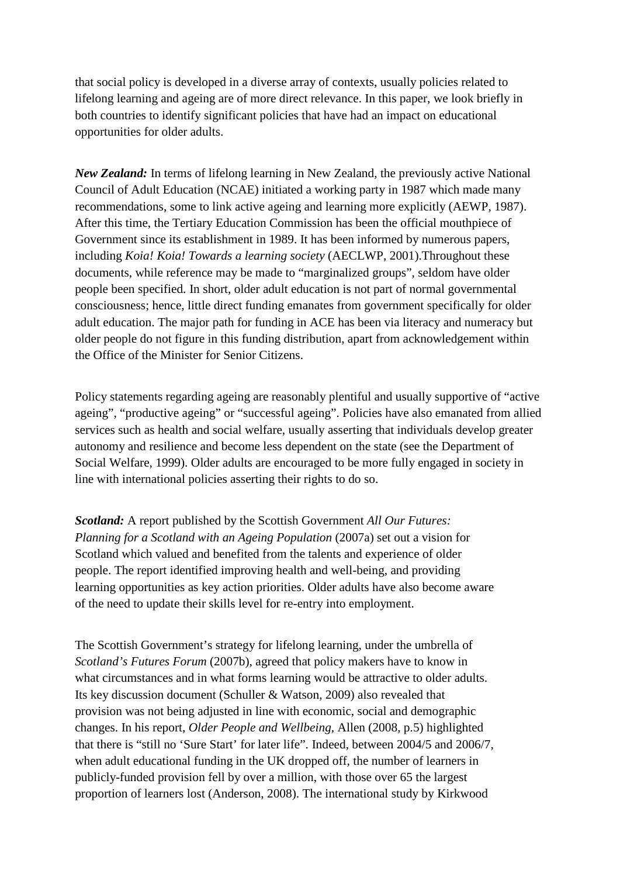that social policy is developed in a diverse array of contexts, usually policies related to lifelong learning and ageing are of more direct relevance. In this paper, we look briefly in both countries to identify significant policies that have had an impact on educational opportunities for older adults.

*New Zealand:* In terms of lifelong learning in New Zealand, the previously active National Council of Adult Education (NCAE) initiated a working party in 1987 which made many recommendations, some to link active ageing and learning more explicitly (AEWP, 1987). After this time, the Tertiary Education Commission has been the official mouthpiece of Government since its establishment in 1989. It has been informed by numerous papers, including *Koia! Koia! Towards a learning society* (AECLWP, 2001).Throughout these documents, while reference may be made to "marginalized groups", seldom have older people been specified. In short, older adult education is not part of normal governmental consciousness; hence, little direct funding emanates from government specifically for older adult education. The major path for funding in ACE has been via literacy and numeracy but older people do not figure in this funding distribution, apart from acknowledgement within the Office of the Minister for Senior Citizens.

Policy statements regarding ageing are reasonably plentiful and usually supportive of "active ageing", "productive ageing" or "successful ageing". Policies have also emanated from allied services such as health and social welfare, usually asserting that individuals develop greater autonomy and resilience and become less dependent on the state (see the Department of Social Welfare, 1999). Older adults are encouraged to be more fully engaged in society in line with international policies asserting their rights to do so.

*Scotland:* A report published by the Scottish Government *All Our Futures: Planning for a Scotland with an Ageing Population (2007a) set out a vision for* Scotland which valued and benefited from the talents and experience of older people. The report identified improving health and well-being, and providing learning opportunities as key action priorities. Older adults have also become aware of the need to update their skills level for re-entry into employment.

The Scottish Government's strategy for lifelong learning, under the umbrella of *Scotland's Futures Forum* (2007b), agreed that policy makers have to know in what circumstances and in what forms learning would be attractive to older adults. Its key discussion document (Schuller & Watson, 2009) also revealed that provision was not being adjusted in line with economic, social and demographic changes. In his report, *Older People and Wellbeing,* Allen (2008, p.5) highlighted that there is "still no 'Sure Start' for later life". Indeed, between 2004/5 and 2006/7, when adult educational funding in the UK dropped off, the number of learners in publicly-funded provision fell by over a million, with those over 65 the largest proportion of learners lost (Anderson, 2008). The international study by Kirkwood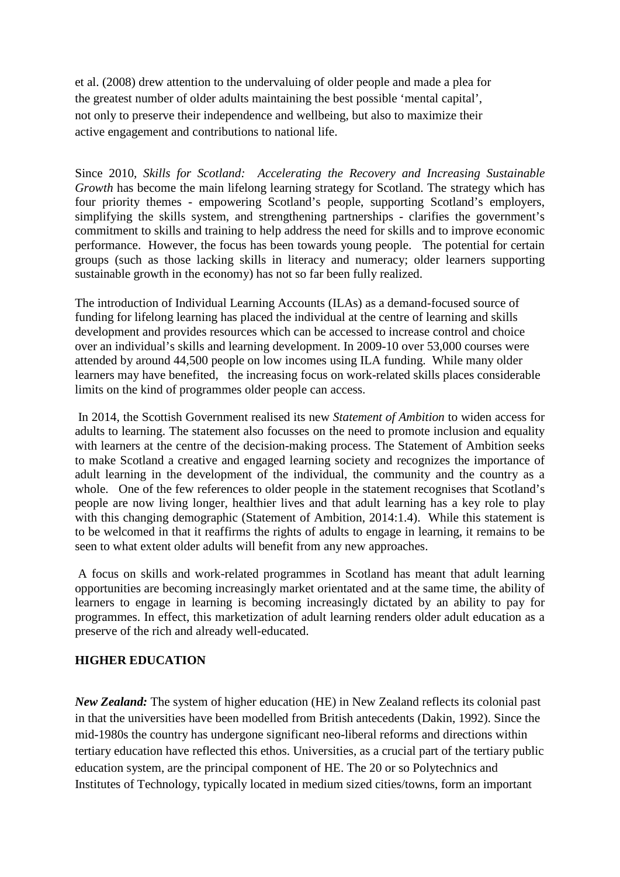et al. (2008) drew attention to the undervaluing of older people and made a plea for the greatest number of older adults maintaining the best possible 'mental capital', not only to preserve their independence and wellbeing, but also to maximize their active engagement and contributions to national life.

Since 2010, *Skills for Scotland: Accelerating the Recovery and Increasing Sustainable Growth* has become the main lifelong learning strategy for Scotland. The strategy which has four priority themes - empowering Scotland's people, supporting Scotland's employers, simplifying the skills system, and strengthening partnerships - clarifies the government's commitment to skills and training to help address the need for skills and to improve economic performance. However, the focus has been towards young people. The potential for certain groups (such as those lacking skills in literacy and numeracy; older learners supporting sustainable growth in the economy) has not so far been fully realized.

The introduction of Individual Learning Accounts (ILAs) as a demand-focused source of funding for lifelong learning has placed the individual at the centre of learning and skills development and provides resources which can be accessed to increase control and choice over an individual's skills and learning development. In 2009-10 over 53,000 courses were attended by around 44,500 people on low incomes using ILA funding. While many older learners may have benefited, the increasing focus on work-related skills places considerable limits on the kind of programmes older people can access.

In 2014, the Scottish Government realised its new *Statement of Ambition* to widen access for adults to learning. The statement also focusses on the need to promote inclusion and equality with learners at the centre of the decision-making process. The Statement of Ambition seeks to make Scotland a creative and engaged learning society and recognizes the importance of adult learning in the development of the individual, the community and the country as a whole. One of the few references to older people in the statement recognises that Scotland's people are now living longer, healthier lives and that adult learning has a key role to play with this changing demographic (Statement of Ambition, 2014:1.4). While this statement is to be welcomed in that it reaffirms the rights of adults to engage in learning, it remains to be seen to what extent older adults will benefit from any new approaches.

A focus on skills and work-related programmes in Scotland has meant that adult learning opportunities are becoming increasingly market orientated and at the same time, the ability of learners to engage in learning is becoming increasingly dictated by an ability to pay for programmes. In effect, this marketization of adult learning renders older adult education as a preserve of the rich and already well-educated.

### **HIGHER EDUCATION**

*New Zealand:* The system of higher education (HE) in New Zealand reflects its colonial past in that the universities have been modelled from British antecedents (Dakin, 1992). Since the mid-1980s the country has undergone significant neo-liberal reforms and directions within tertiary education have reflected this ethos. Universities, as a crucial part of the tertiary public education system, are the principal component of HE. The 20 or so Polytechnics and Institutes of Technology, typically located in medium sized cities/towns, form an important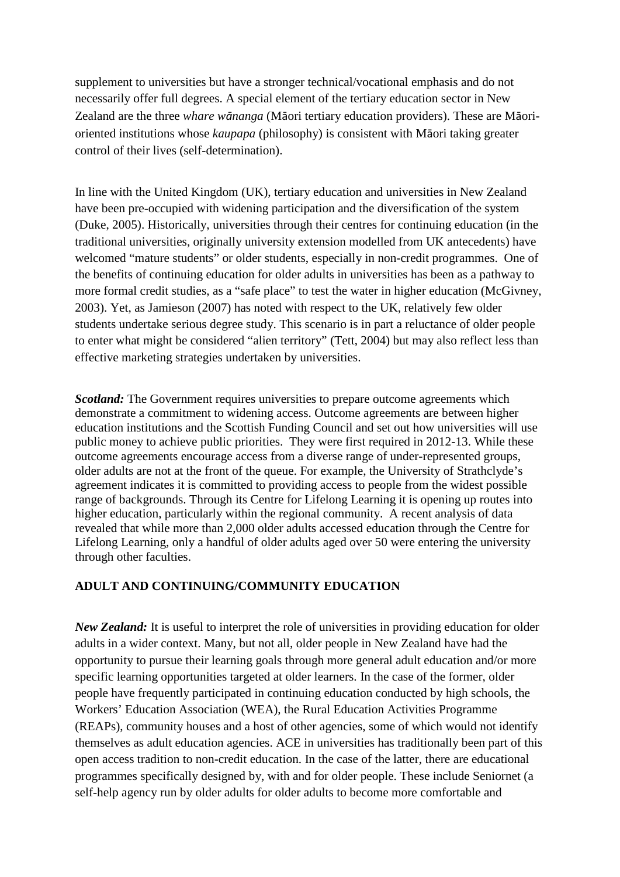supplement to universities but have a stronger technical/vocational emphasis and do not necessarily offer full degrees. A special element of the tertiary education sector in New Zealand are the three *whare wānanga* (Māori tertiary education providers). These are Māorioriented institutions whose *kaupapa* (philosophy) is consistent with Māori taking greater control of their lives (self-determination).

In line with the United Kingdom (UK), tertiary education and universities in New Zealand have been pre-occupied with widening participation and the diversification of the system (Duke, 2005). Historically, universities through their centres for continuing education (in the traditional universities, originally university extension modelled from UK antecedents) have welcomed "mature students" or older students, especially in non-credit programmes. One of the benefits of continuing education for older adults in universities has been as a pathway to more formal credit studies, as a "safe place" to test the water in higher education (McGivney, 2003). Yet, as Jamieson (2007) has noted with respect to the UK, relatively few older students undertake serious degree study. This scenario is in part a reluctance of older people to enter what might be considered "alien territory" (Tett, 2004) but may also reflect less than effective marketing strategies undertaken by universities.

*Scotland:* The Government requires universities to prepare outcome agreements which demonstrate a commitment to widening access. Outcome agreements are between higher education institutions and the Scottish Funding Council and set out how universities will use public money to achieve public priorities. They were first required in 2012-13. While these outcome agreements encourage access from a diverse range of under-represented groups, older adults are not at the front of the queue. For example, the University of Strathclyde's agreement indicates it is committed to providing access to people from the widest possible range of backgrounds. Through its Centre for Lifelong Learning it is opening up routes into higher education, particularly within the regional community. A recent analysis of data revealed that while more than 2,000 older adults accessed education through the Centre for Lifelong Learning, only a handful of older adults aged over 50 were entering the university through other faculties.

## **ADULT AND CONTINUING/COMMUNITY EDUCATION**

*New Zealand:* It is useful to interpret the role of universities in providing education for older adults in a wider context. Many, but not all, older people in New Zealand have had the opportunity to pursue their learning goals through more general adult education and/or more specific learning opportunities targeted at older learners. In the case of the former, older people have frequently participated in continuing education conducted by high schools, the Workers' Education Association (WEA), the Rural Education Activities Programme (REAPs), community houses and a host of other agencies, some of which would not identify themselves as adult education agencies. ACE in universities has traditionally been part of this open access tradition to non-credit education. In the case of the latter, there are educational programmes specifically designed by, with and for older people. These include Seniornet (a self-help agency run by older adults for older adults to become more comfortable and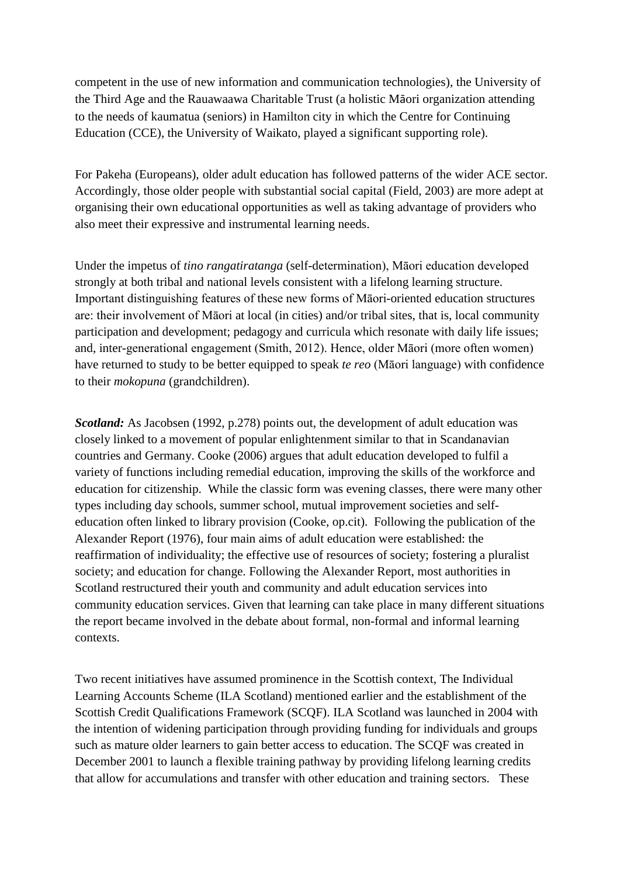competent in the use of new information and communication technologies), the University of the Third Age and the Rauawaawa Charitable Trust (a holistic Māori organization attending to the needs of kaumatua (seniors) in Hamilton city in which the Centre for Continuing Education (CCE), the University of Waikato, played a significant supporting role).

For Pakeha (Europeans), older adult education has followed patterns of the wider ACE sector. Accordingly, those older people with substantial social capital (Field, 2003) are more adept at organising their own educational opportunities as well as taking advantage of providers who also meet their expressive and instrumental learning needs.

Under the impetus of *tino rangatiratanga* (self-determination), Māori education developed strongly at both tribal and national levels consistent with a lifelong learning structure. Important distinguishing features of these new forms of Māori-oriented education structures are: their involvement of Māori at local (in cities) and/or tribal sites, that is, local community participation and development; pedagogy and curricula which resonate with daily life issues; and, inter-generational engagement (Smith, 2012). Hence, older Māori (more often women) have returned to study to be better equipped to speak *te reo* (Māori language) with confidence to their *mokopuna* (grandchildren).

*Scotland:* As Jacobsen (1992, p.278) points out, the development of adult education was closely linked to a movement of popular enlightenment similar to that in Scandanavian countries and Germany. Cooke (2006) argues that adult education developed to fulfil a variety of functions including remedial education, improving the skills of the workforce and education for citizenship. While the classic form was evening classes, there were many other types including day schools, summer school, mutual improvement societies and selfeducation often linked to library provision (Cooke, op.cit). Following the publication of the Alexander Report (1976), four main aims of adult education were established: the reaffirmation of individuality; the effective use of resources of society; fostering a pluralist society; and education for change. Following the Alexander Report, most authorities in Scotland restructured their youth and community and adult education services into community education services. Given that learning can take place in many different situations the report became involved in the debate about formal, non-formal and informal learning contexts.

Two recent initiatives have assumed prominence in the Scottish context, The Individual Learning Accounts Scheme (ILA Scotland) mentioned earlier and the establishment of the Scottish Credit Qualifications Framework (SCQF). ILA Scotland was launched in 2004 with the intention of widening participation through providing funding for individuals and groups such as mature older learners to gain better access to education. The SCQF was created in December 2001 to launch a flexible training pathway by providing lifelong learning credits that allow for accumulations and transfer with other education and training sectors. These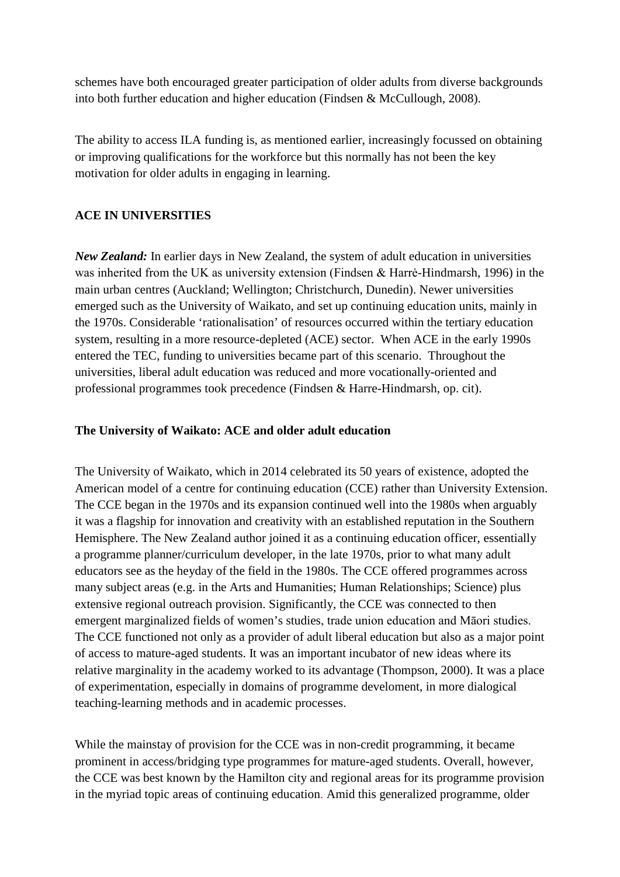schemes have both encouraged greater participation of older adults from diverse backgrounds into both further education and higher education (Findsen & McCullough, 2008).

The ability to access ILA funding is, as mentioned earlier, increasingly focussed on obtaining or improving qualifications for the workforce but this normally has not been the key motivation for older adults in engaging in learning.

### **ACE IN UNIVERSITIES**

*New Zealand:* In earlier days in New Zealand, the system of adult education in universities was inherited from the UK as university extension (Findsen & Harrė-Hindmarsh, 1996) in the main urban centres (Auckland; Wellington; Christchurch, Dunedin). Newer universities emerged such as the University of Waikato, and set up continuing education units, mainly in the 1970s. Considerable 'rationalisation' of resources occurred within the tertiary education system, resulting in a more resource-depleted (ACE) sector. When ACE in the early 1990s entered the TEC, funding to universities became part of this scenario. Throughout the universities, liberal adult education was reduced and more vocationally-oriented and professional programmes took precedence (Findsen & Harre-Hindmarsh, op. cit).

### **The University of Waikato: ACE and older adult education**

The University of Waikato, which in 2014 celebrated its 50 years of existence, adopted the American model of a centre for continuing education (CCE) rather than University Extension. The CCE began in the 1970s and its expansion continued well into the 1980s when arguably it was a flagship for innovation and creativity with an established reputation in the Southern Hemisphere. The New Zealand author joined it as a continuing education officer, essentially a programme planner/curriculum developer, in the late 1970s, prior to what many adult educators see as the heyday of the field in the 1980s. The CCE offered programmes across many subject areas (e.g. in the Arts and Humanities; Human Relationships; Science) plus extensive regional outreach provision. Significantly, the CCE was connected to then emergent marginalized fields of women's studies, trade union education and Māori studies. The CCE functioned not only as a provider of adult liberal education but also as a major point of access to mature-aged students. It was an important incubator of new ideas where its relative marginality in the academy worked to its advantage (Thompson, 2000). It was a place of experimentation, especially in domains of programme develoment, in more dialogical teaching-learning methods and in academic processes.

While the mainstay of provision for the CCE was in non-credit programming, it became prominent in access/bridging type programmes for mature-aged students. Overall, however, the CCE was best known by the Hamilton city and regional areas for its programme provision in the myriad topic areas of continuing education. Amid this generalized programme, older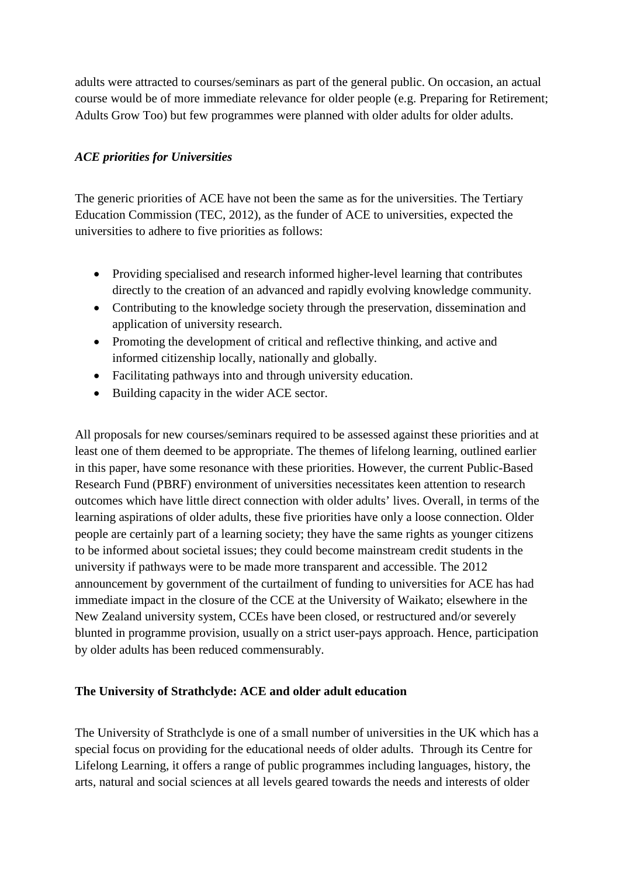adults were attracted to courses/seminars as part of the general public. On occasion, an actual course would be of more immediate relevance for older people (e.g. Preparing for Retirement; Adults Grow Too) but few programmes were planned with older adults for older adults.

## *ACE priorities for Universities*

The generic priorities of ACE have not been the same as for the universities. The Tertiary Education Commission (TEC, 2012), as the funder of ACE to universities, expected the universities to adhere to five priorities as follows:

- Providing specialised and research informed higher-level learning that contributes directly to the creation of an advanced and rapidly evolving knowledge community.
- Contributing to the knowledge society through the preservation, dissemination and application of university research.
- Promoting the development of critical and reflective thinking, and active and informed citizenship locally, nationally and globally.
- Facilitating pathways into and through university education.
- Building capacity in the wider ACE sector.

All proposals for new courses/seminars required to be assessed against these priorities and at least one of them deemed to be appropriate. The themes of lifelong learning, outlined earlier in this paper, have some resonance with these priorities. However, the current Public-Based Research Fund (PBRF) environment of universities necessitates keen attention to research outcomes which have little direct connection with older adults' lives. Overall, in terms of the learning aspirations of older adults, these five priorities have only a loose connection. Older people are certainly part of a learning society; they have the same rights as younger citizens to be informed about societal issues; they could become mainstream credit students in the university if pathways were to be made more transparent and accessible. The 2012 announcement by government of the curtailment of funding to universities for ACE has had immediate impact in the closure of the CCE at the University of Waikato; elsewhere in the New Zealand university system, CCEs have been closed, or restructured and/or severely blunted in programme provision, usually on a strict user-pays approach. Hence, participation by older adults has been reduced commensurably.

## **The University of Strathclyde: ACE and older adult education**

The University of Strathclyde is one of a small number of universities in the UK which has a special focus on providing for the educational needs of older adults. Through its Centre for Lifelong Learning, it offers a range of public programmes including languages, history, the arts, natural and social sciences at all levels geared towards the needs and interests of older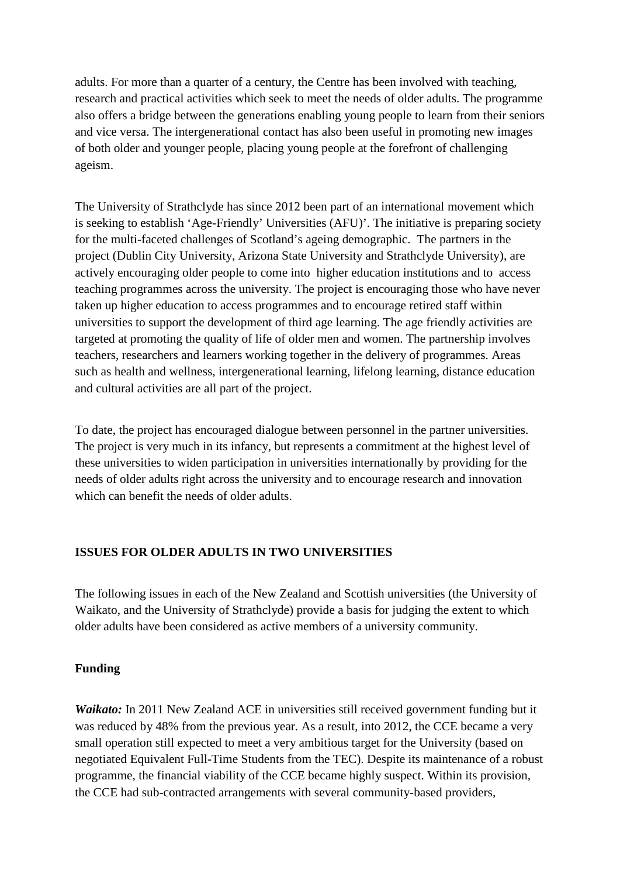adults. For more than a quarter of a century, the Centre has been involved with teaching, research and practical activities which seek to meet the needs of older adults. The programme also offers a bridge between the generations enabling young people to learn from their seniors and vice versa. The intergenerational contact has also been useful in promoting new images of both older and younger people, placing young people at the forefront of challenging ageism.

The University of Strathclyde has since 2012 been part of an international movement which is seeking to establish 'Age-Friendly' Universities (AFU)'. The initiative is preparing society for the multi-faceted challenges of Scotland's ageing demographic. The partners in the project (Dublin City University, Arizona State University and Strathclyde University), are actively encouraging older people to come into higher education institutions and to access teaching programmes across the university. The project is encouraging those who have never taken up higher education to access programmes and to encourage retired staff within universities to support the development of third age learning. The age friendly activities are targeted at promoting the quality of life of older men and women. The partnership involves teachers, researchers and learners working together in the delivery of programmes. Areas such as health and wellness, intergenerational learning, lifelong learning, distance education and cultural activities are all part of the project.

To date, the project has encouraged dialogue between personnel in the partner universities. The project is very much in its infancy, but represents a commitment at the highest level of these universities to widen participation in universities internationally by providing for the needs of older adults right across the university and to encourage research and innovation which can benefit the needs of older adults.

## **ISSUES FOR OLDER ADULTS IN TWO UNIVERSITIES**

The following issues in each of the New Zealand and Scottish universities (the University of Waikato, and the University of Strathclyde) provide a basis for judging the extent to which older adults have been considered as active members of a university community.

## **Funding**

*Waikato:* In 2011 New Zealand ACE in universities still received government funding but it was reduced by 48% from the previous year. As a result, into 2012, the CCE became a very small operation still expected to meet a very ambitious target for the University (based on negotiated Equivalent Full-Time Students from the TEC). Despite its maintenance of a robust programme, the financial viability of the CCE became highly suspect. Within its provision, the CCE had sub-contracted arrangements with several community-based providers,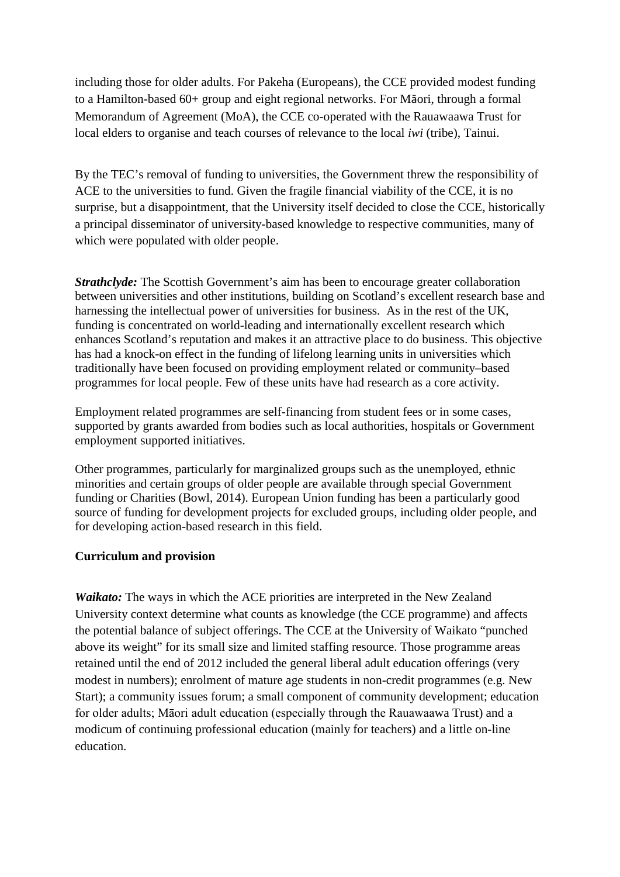including those for older adults. For Pakeha (Europeans), the CCE provided modest funding to a Hamilton-based 60+ group and eight regional networks. For Māori, through a formal Memorandum of Agreement (MoA), the CCE co-operated with the Rauawaawa Trust for local elders to organise and teach courses of relevance to the local *iwi* (tribe), Tainui.

By the TEC's removal of funding to universities, the Government threw the responsibility of ACE to the universities to fund. Given the fragile financial viability of the CCE, it is no surprise, but a disappointment, that the University itself decided to close the CCE, historically a principal disseminator of university-based knowledge to respective communities, many of which were populated with older people.

*Strathclyde:* The Scottish Government's aim has been to encourage greater collaboration between universities and other institutions, building on Scotland's excellent research base and harnessing the intellectual power of universities for business. As in the rest of the UK, funding is concentrated on world-leading and internationally excellent research which enhances Scotland's reputation and makes it an attractive place to do business. This objective has had a knock-on effect in the funding of lifelong learning units in universities which traditionally have been focused on providing employment related or community–based programmes for local people. Few of these units have had research as a core activity.

Employment related programmes are self-financing from student fees or in some cases, supported by grants awarded from bodies such as local authorities, hospitals or Government employment supported initiatives.

Other programmes, particularly for marginalized groups such as the unemployed, ethnic minorities and certain groups of older people are available through special Government funding or Charities (Bowl, 2014). European Union funding has been a particularly good source of funding for development projects for excluded groups, including older people, and for developing action-based research in this field.

## **Curriculum and provision**

*Waikato:* The ways in which the ACE priorities are interpreted in the New Zealand University context determine what counts as knowledge (the CCE programme) and affects the potential balance of subject offerings. The CCE at the University of Waikato "punched above its weight" for its small size and limited staffing resource. Those programme areas retained until the end of 2012 included the general liberal adult education offerings (very modest in numbers); enrolment of mature age students in non-credit programmes (e.g. New Start); a community issues forum; a small component of community development; education for older adults; Māori adult education (especially through the Rauawaawa Trust) and a modicum of continuing professional education (mainly for teachers) and a little on-line education.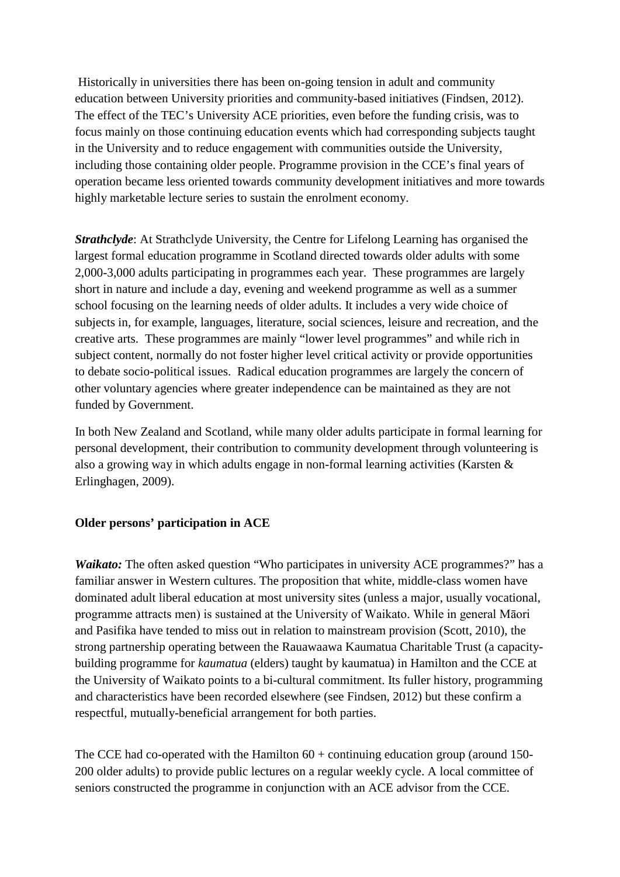Historically in universities there has been on-going tension in adult and community education between University priorities and community-based initiatives (Findsen, 2012). The effect of the TEC's University ACE priorities, even before the funding crisis, was to focus mainly on those continuing education events which had corresponding subjects taught in the University and to reduce engagement with communities outside the University, including those containing older people. Programme provision in the CCE's final years of operation became less oriented towards community development initiatives and more towards highly marketable lecture series to sustain the enrolment economy.

*Strathclyde*: At Strathclyde University, the Centre for Lifelong Learning has organised the largest formal education programme in Scotland directed towards older adults with some 2,000-3,000 adults participating in programmes each year. These programmes are largely short in nature and include a day, evening and weekend programme as well as a summer school focusing on the learning needs of older adults. It includes a very wide choice of subjects in, for example, languages, literature, social sciences, leisure and recreation, and the creative arts. These programmes are mainly "lower level programmes" and while rich in subject content, normally do not foster higher level critical activity or provide opportunities to debate socio-political issues. Radical education programmes are largely the concern of other voluntary agencies where greater independence can be maintained as they are not funded by Government.

In both New Zealand and Scotland, while many older adults participate in formal learning for personal development, their contribution to community development through volunteering is also a growing way in which adults engage in non-formal learning activities (Karsten & Erlinghagen, 2009).

## **Older persons' participation in ACE**

*Waikato:* The often asked question "Who participates in university ACE programmes?" has a familiar answer in Western cultures. The proposition that white, middle-class women have dominated adult liberal education at most university sites (unless a major, usually vocational, programme attracts men) is sustained at the University of Waikato. While in general Māori and Pasifika have tended to miss out in relation to mainstream provision (Scott, 2010), the strong partnership operating between the Rauawaawa Kaumatua Charitable Trust (a capacitybuilding programme for *kaumatua* (elders) taught by kaumatua) in Hamilton and the CCE at the University of Waikato points to a bi-cultural commitment. Its fuller history, programming and characteristics have been recorded elsewhere (see Findsen, 2012) but these confirm a respectful, mutually-beneficial arrangement for both parties.

The CCE had co-operated with the Hamilton  $60 +$  continuing education group (around 150-200 older adults) to provide public lectures on a regular weekly cycle. A local committee of seniors constructed the programme in conjunction with an ACE advisor from the CCE.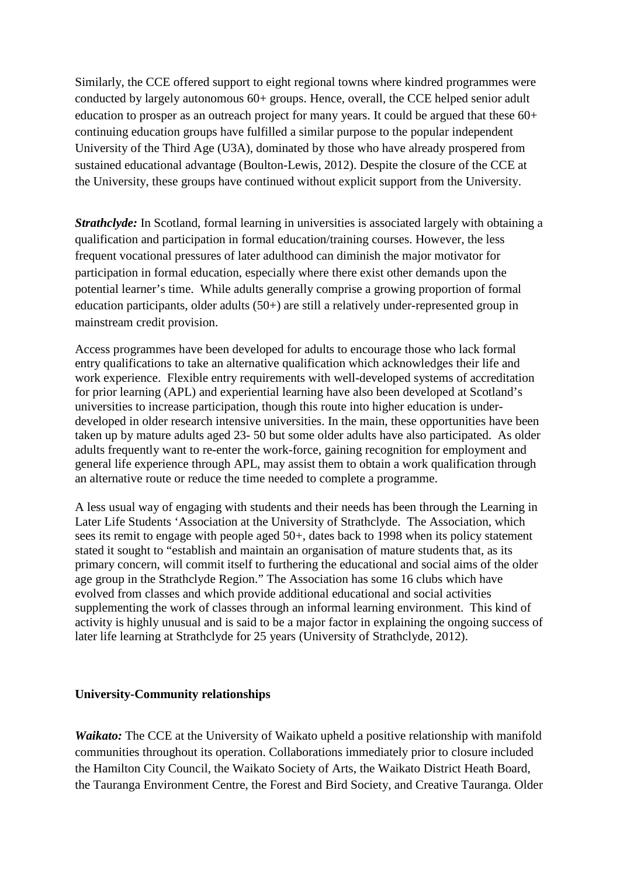Similarly, the CCE offered support to eight regional towns where kindred programmes were conducted by largely autonomous 60+ groups. Hence, overall, the CCE helped senior adult education to prosper as an outreach project for many years. It could be argued that these 60+ continuing education groups have fulfilled a similar purpose to the popular independent University of the Third Age (U3A), dominated by those who have already prospered from sustained educational advantage (Boulton-Lewis, 2012). Despite the closure of the CCE at the University, these groups have continued without explicit support from the University.

*Strathclyde:* In Scotland, formal learning in universities is associated largely with obtaining a qualification and participation in formal education/training courses. However, the less frequent vocational pressures of later adulthood can diminish the major motivator for participation in formal education, especially where there exist other demands upon the potential learner's time. While adults generally comprise a growing proportion of formal education participants, older adults (50+) are still a relatively under-represented group in mainstream credit provision.

Access programmes have been developed for adults to encourage those who lack formal entry qualifications to take an alternative qualification which acknowledges their life and work experience. Flexible entry requirements with well-developed systems of accreditation for prior learning (APL) and experiential learning have also been developed at Scotland's universities to increase participation, though this route into higher education is underdeveloped in older research intensive universities. In the main, these opportunities have been taken up by mature adults aged 23- 50 but some older adults have also participated. As older adults frequently want to re-enter the work-force, gaining recognition for employment and general life experience through APL, may assist them to obtain a work qualification through an alternative route or reduce the time needed to complete a programme.

A less usual way of engaging with students and their needs has been through the Learning in Later Life Students 'Association at the University of Strathclyde. The Association, which sees its remit to engage with people aged 50+, dates back to 1998 when its policy statement stated it sought to "establish and maintain an organisation of mature students that, as its primary concern, will commit itself to furthering the educational and social aims of the older age group in the Strathclyde Region." The Association has some 16 clubs which have evolved from classes and which provide additional educational and social activities supplementing the work of classes through an informal learning environment. This kind of activity is highly unusual and is said to be a major factor in explaining the ongoing success of later life learning at Strathclyde for 25 years (University of Strathclyde, 2012).

#### **University-Community relationships**

*Waikato:* The CCE at the University of Waikato upheld a positive relationship with manifold communities throughout its operation. Collaborations immediately prior to closure included the Hamilton City Council, the Waikato Society of Arts, the Waikato District Heath Board, the Tauranga Environment Centre, the Forest and Bird Society, and Creative Tauranga. Older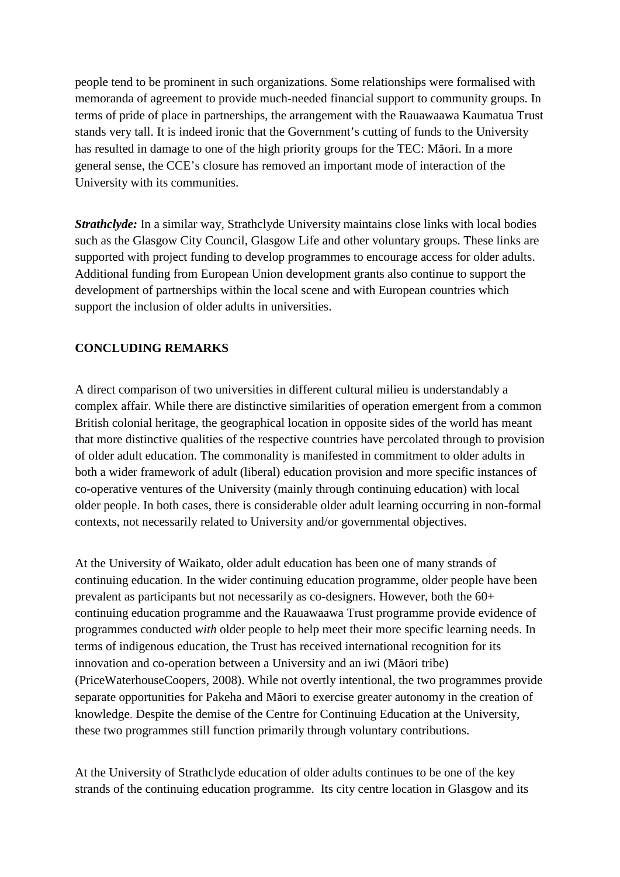people tend to be prominent in such organizations. Some relationships were formalised with memoranda of agreement to provide much-needed financial support to community groups. In terms of pride of place in partnerships, the arrangement with the Rauawaawa Kaumatua Trust stands very tall. It is indeed ironic that the Government's cutting of funds to the University has resulted in damage to one of the high priority groups for the TEC: Māori. In a more general sense, the CCE's closure has removed an important mode of interaction of the University with its communities.

*Strathclyde:* In a similar way, Strathclyde University maintains close links with local bodies such as the Glasgow City Council, Glasgow Life and other voluntary groups. These links are supported with project funding to develop programmes to encourage access for older adults. Additional funding from European Union development grants also continue to support the development of partnerships within the local scene and with European countries which support the inclusion of older adults in universities.

## **CONCLUDING REMARKS**

A direct comparison of two universities in different cultural milieu is understandably a complex affair. While there are distinctive similarities of operation emergent from a common British colonial heritage, the geographical location in opposite sides of the world has meant that more distinctive qualities of the respective countries have percolated through to provision of older adult education. The commonality is manifested in commitment to older adults in both a wider framework of adult (liberal) education provision and more specific instances of co-operative ventures of the University (mainly through continuing education) with local older people. In both cases, there is considerable older adult learning occurring in non-formal contexts, not necessarily related to University and/or governmental objectives.

At the University of Waikato, older adult education has been one of many strands of continuing education. In the wider continuing education programme, older people have been prevalent as participants but not necessarily as co-designers. However, both the 60+ continuing education programme and the Rauawaawa Trust programme provide evidence of programmes conducted *with* older people to help meet their more specific learning needs. In terms of indigenous education, the Trust has received international recognition for its innovation and co-operation between a University and an iwi (Māori tribe) (PriceWaterhouseCoopers, 2008). While not overtly intentional, the two programmes provide separate opportunities for Pakeha and Māori to exercise greater autonomy in the creation of knowledge. Despite the demise of the Centre for Continuing Education at the University, these two programmes still function primarily through voluntary contributions.

At the University of Strathclyde education of older adults continues to be one of the key strands of the continuing education programme. Its city centre location in Glasgow and its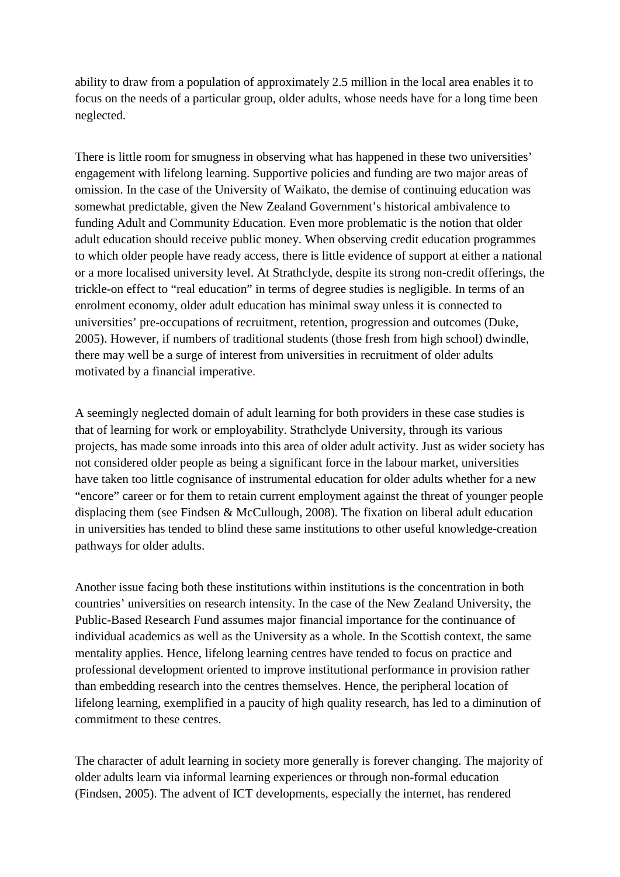ability to draw from a population of approximately 2.5 million in the local area enables it to focus on the needs of a particular group, older adults, whose needs have for a long time been neglected.

There is little room for smugness in observing what has happened in these two universities' engagement with lifelong learning. Supportive policies and funding are two major areas of omission. In the case of the University of Waikato, the demise of continuing education was somewhat predictable, given the New Zealand Government's historical ambivalence to funding Adult and Community Education. Even more problematic is the notion that older adult education should receive public money. When observing credit education programmes to which older people have ready access, there is little evidence of support at either a national or a more localised university level. At Strathclyde, despite its strong non-credit offerings, the trickle-on effect to "real education" in terms of degree studies is negligible. In terms of an enrolment economy, older adult education has minimal sway unless it is connected to universities' pre-occupations of recruitment, retention, progression and outcomes (Duke, 2005). However, if numbers of traditional students (those fresh from high school) dwindle, there may well be a surge of interest from universities in recruitment of older adults motivated by a financial imperative.

A seemingly neglected domain of adult learning for both providers in these case studies is that of learning for work or employability. Strathclyde University, through its various projects, has made some inroads into this area of older adult activity. Just as wider society has not considered older people as being a significant force in the labour market, universities have taken too little cognisance of instrumental education for older adults whether for a new "encore" career or for them to retain current employment against the threat of younger people displacing them (see Findsen & McCullough, 2008). The fixation on liberal adult education in universities has tended to blind these same institutions to other useful knowledge-creation pathways for older adults.

Another issue facing both these institutions within institutions is the concentration in both countries' universities on research intensity. In the case of the New Zealand University, the Public-Based Research Fund assumes major financial importance for the continuance of individual academics as well as the University as a whole. In the Scottish context, the same mentality applies. Hence, lifelong learning centres have tended to focus on practice and professional development oriented to improve institutional performance in provision rather than embedding research into the centres themselves. Hence, the peripheral location of lifelong learning, exemplified in a paucity of high quality research, has led to a diminution of commitment to these centres.

The character of adult learning in society more generally is forever changing. The majority of older adults learn via informal learning experiences or through non-formal education (Findsen, 2005). The advent of ICT developments, especially the internet, has rendered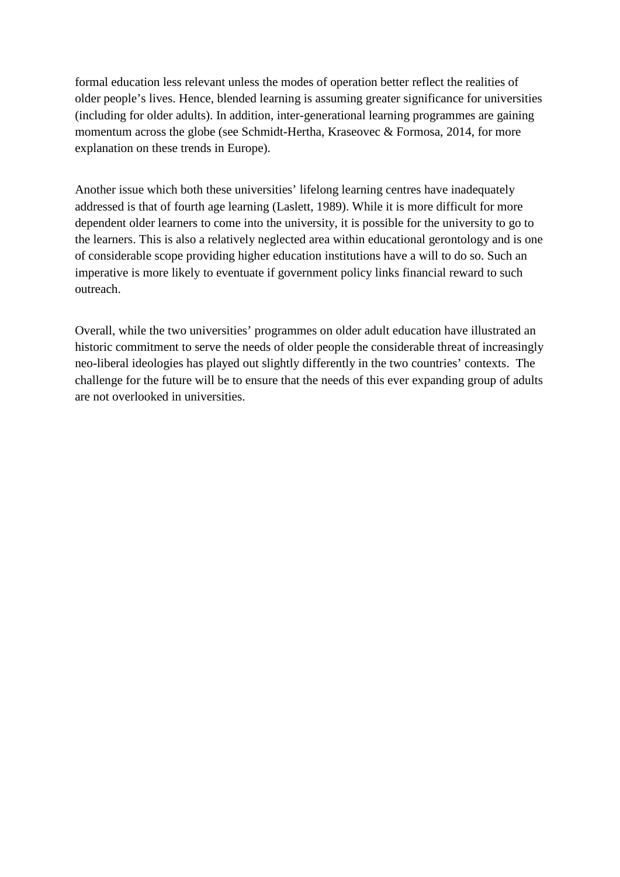formal education less relevant unless the modes of operation better reflect the realities of older people's lives. Hence, blended learning is assuming greater significance for universities (including for older adults). In addition, inter-generational learning programmes are gaining momentum across the globe (see Schmidt-Hertha, Kraseovec & Formosa, 2014, for more explanation on these trends in Europe).

Another issue which both these universities' lifelong learning centres have inadequately addressed is that of fourth age learning (Laslett, 1989). While it is more difficult for more dependent older learners to come into the university, it is possible for the university to go to the learners. This is also a relatively neglected area within educational gerontology and is one of considerable scope providing higher education institutions have a will to do so. Such an imperative is more likely to eventuate if government policy links financial reward to such outreach.

Overall, while the two universities' programmes on older adult education have illustrated an historic commitment to serve the needs of older people the considerable threat of increasingly neo-liberal ideologies has played out slightly differently in the two countries' contexts. The challenge for the future will be to ensure that the needs of this ever expanding group of adults are not overlooked in universities.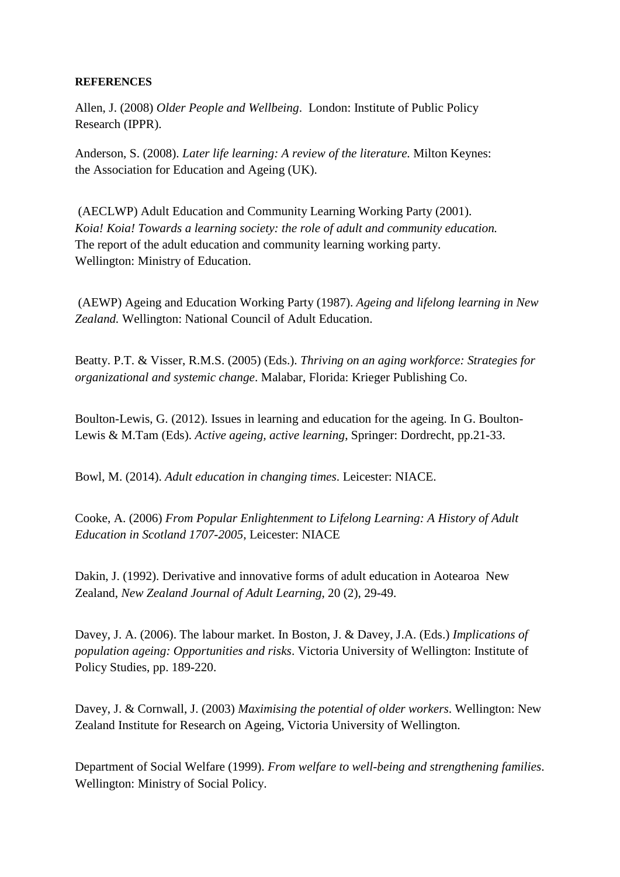### **REFERENCES**

Allen, J. (2008) *Older People and Wellbeing*. London: Institute of Public Policy Research (IPPR).

Anderson, S. (2008). *Later life learning: A review of the literature.* Milton Keynes: the Association for Education and Ageing (UK).

(AECLWP) Adult Education and Community Learning Working Party (2001). *Koia! Koia! Towards a learning society: the role of adult and community education.* The report of the adult education and community learning working party. Wellington: Ministry of Education.

(AEWP) Ageing and Education Working Party (1987). *Ageing and lifelong learning in New Zealand.* Wellington: National Council of Adult Education.

Beatty. P.T. & Visser, R.M.S. (2005) (Eds.). *Thriving on an aging workforce: Strategies for organizational and systemic change*. Malabar, Florida: Krieger Publishing Co.

Boulton-Lewis, G. (2012). Issues in learning and education for the ageing. In G. Boulton-Lewis & M.Tam (Eds). *Active ageing, active learning*, Springer: Dordrecht, pp.21-33.

Bowl, M. (2014). *Adult education in changing times*. Leicester: NIACE.

Cooke, A. (2006) *From Popular Enlightenment to Lifelong Learning: A History of Adult Education in Scotland 1707-2005*, Leicester: NIACE

Dakin, J. (1992). Derivative and innovative forms of adult education in Aotearoa New Zealand, *New Zealand Journal of Adult Learning*, 20 (2), 29-49.

Davey, J. A. (2006). The labour market. In Boston, J. & Davey, J.A. (Eds.) *Implications of population ageing: Opportunities and risks*. Victoria University of Wellington: Institute of Policy Studies, pp. 189-220.

Davey, J. & Cornwall, J. (2003) *Maximising the potential of older workers*. Wellington: New Zealand Institute for Research on Ageing, Victoria University of Wellington.

Department of Social Welfare (1999). *From welfare to well-being and strengthening families*. Wellington: Ministry of Social Policy.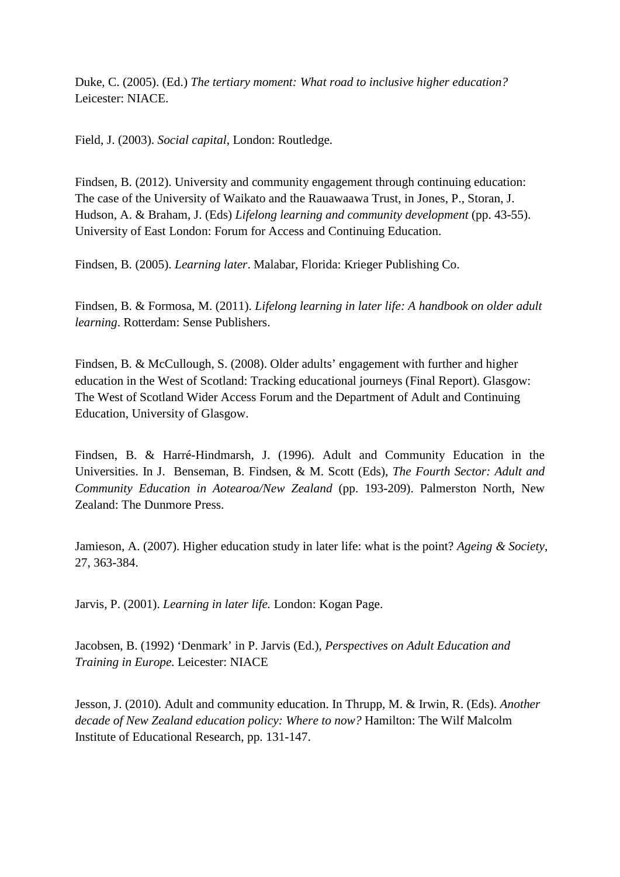Duke, C. (2005). (Ed.) *The tertiary moment: What road to inclusive higher education?* Leicester: NIACE.

Field, J. (2003). *Social capital*, London: Routledge.

Findsen, B. (2012). University and community engagement through continuing education: The case of the University of Waikato and the Rauawaawa Trust, in Jones, P., Storan, J. Hudson, A. & Braham, J. (Eds) *Lifelong learning and community development* (pp. 43-55). University of East London: Forum for Access and Continuing Education.

Findsen, B. (2005). *Learning later*. Malabar, Florida: Krieger Publishing Co.

Findsen, B. & Formosa, M. (2011). *Lifelong learning in later life: A handbook on older adult learning*. Rotterdam: Sense Publishers.

Findsen, B. & McCullough, S. (2008). Older adults' engagement with further and higher education in the West of Scotland: Tracking educational journeys (Final Report). Glasgow: The West of Scotland Wider Access Forum and the Department of Adult and Continuing Education, University of Glasgow.

Findsen, B. & Harré-Hindmarsh, J. (1996). Adult and Community Education in the Universities. In J. Benseman, B. Findsen, & M. Scott (Eds), *The Fourth Sector: Adult and Community Education in Aotearoa/New Zealand* (pp. 193-209). Palmerston North, New Zealand: The Dunmore Press.

Jamieson, A. (2007). Higher education study in later life: what is the point? *Ageing & Society*, 27, 363-384.

Jarvis, P. (2001). *Learning in later life.* London: Kogan Page.

Jacobsen, B. (1992) 'Denmark' in P. Jarvis (Ed.), *Perspectives on Adult Education and Training in Europe.* Leicester: NIACE

Jesson, J. (2010). Adult and community education. In Thrupp, M. & Irwin, R. (Eds). *Another decade of New Zealand education policy: Where to now?* Hamilton: The Wilf Malcolm Institute of Educational Research, pp. 131-147.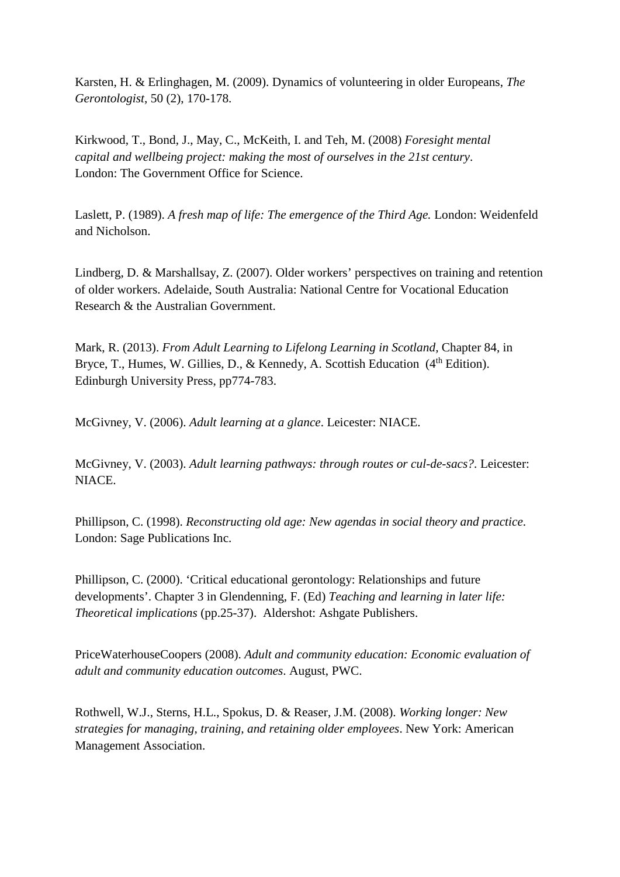Karsten, H. & Erlinghagen, M. (2009). Dynamics of volunteering in older Europeans, *The Gerontologist*, 50 (2), 170-178.

Kirkwood, T., Bond, J., May, C., McKeith, I. and Teh, M. (2008) *Foresight mental capital and wellbeing project: making the most of ourselves in the 21st century*. London: The Government Office for Science.

Laslett, P. (1989). *A fresh map of life: The emergence of the Third Age.* London: Weidenfeld and Nicholson.

Lindberg, D. & Marshallsay, Z. (2007). Older workers' perspectives on training and retention of older workers. Adelaide, South Australia: National Centre for Vocational Education Research & the Australian Government.

Mark, R. (2013). *From Adult Learning to Lifelong Learning in Scotland,* Chapter 84, in Bryce, T., Humes, W. Gillies, D., & Kennedy, A. Scottish Education (4<sup>th</sup> Edition). Edinburgh University Press, pp774-783.

McGivney, V. (2006). *Adult learning at a glance*. Leicester: NIACE.

McGivney, V. (2003). *Adult learning pathways: through routes or cul-de-sacs?*. Leicester: NIACE.

Phillipson, C. (1998). *Reconstructing old age: New agendas in social theory and practice*. London: Sage Publications Inc.

Phillipson, C. (2000). 'Critical educational gerontology: Relationships and future developments'. Chapter 3 in Glendenning, F. (Ed) *Teaching and learning in later life: Theoretical implications* (pp.25-37). Aldershot: Ashgate Publishers.

PriceWaterhouseCoopers (2008). *Adult and community education: Economic evaluation of adult and community education outcomes*. August, PWC.

Rothwell, W.J., Sterns, H.L., Spokus, D. & Reaser, J.M. (2008). *Working longer: New strategies for managing, training, and retaining older employees*. New York: American Management Association.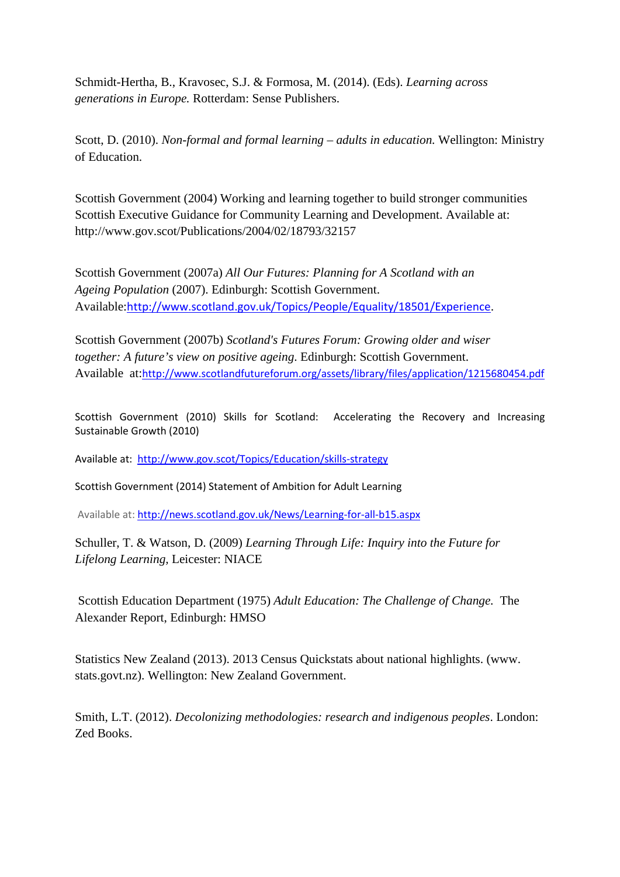Schmidt-Hertha, B., Kravosec, S.J. & Formosa, M. (2014). (Eds). *Learning across generations in Europe.* Rotterdam: Sense Publishers.

Scott, D. (2010). *Non-formal and formal learning – adults in education.* Wellington: Ministry of Education.

Scottish Government (2004) Working and learning together to build stronger communities Scottish Executive Guidance for Community Learning and Development. Available at: http://www.gov.scot/Publications/2004/02/18793/32157

Scottish Government (2007a) *All Our Futures: Planning for A Scotland with an Ageing Population* (2007). Edinburgh: Scottish Government. Available:<http://www.scotland.gov.uk/Topics/People/Equality/18501/Experience>.

Scottish Government (2007b) *Scotland's Futures Forum: Growing older and wiser together: A future's view on positive ageing*. Edinburgh: Scottish Government. Available at:<http://www.scotlandfutureforum.org/assets/library/files/application/1215680454.pdf>

Scottish Government (2010) Skills for Scotland: Accelerating the Recovery and Increasing Sustainable Growth (2010)

Available at: <http://www.gov.scot/Topics/Education/skills-strategy>

Scottish Government (2014) Statement of Ambition for Adult Learning

Available at: <http://news.scotland.gov.uk/News/Learning-for-all-b15.aspx>

Schuller, T. & Watson, D. (2009) *Learning Through Life: Inquiry into the Future for Lifelong Learning,* Leicester: NIACE

Scottish Education Department (1975) *Adult Education: The Challenge of Change.* The Alexander Report, Edinburgh: HMSO

Statistics New Zealand (2013). 2013 Census Quickstats about national highlights. (www. stats.govt.nz). Wellington: New Zealand Government.

Smith, L.T. (2012). *Decolonizing methodologies: research and indigenous peoples*. London: Zed Books.